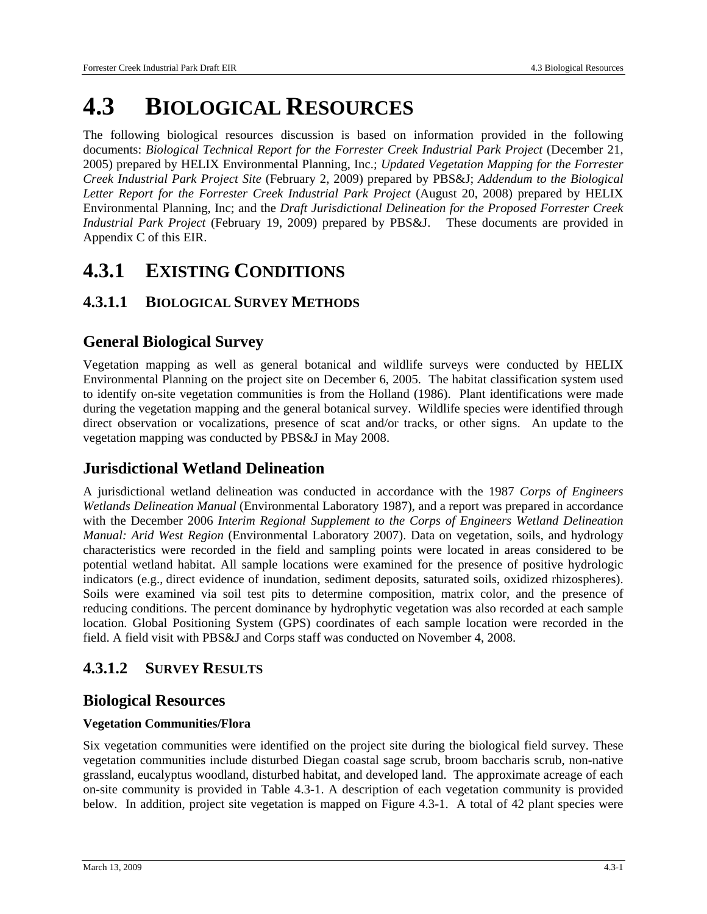# **4.3 BIOLOGICAL RESOURCES**

The following biological resources discussion is based on information provided in the following documents: *Biological Technical Report for the Forrester Creek Industrial Park Project* (December 21, 2005) prepared by HELIX Environmental Planning, Inc.; *Updated Vegetation Mapping for the Forrester Creek Industrial Park Project Site* (February 2, 2009) prepared by PBS&J; *Addendum to the Biological*  Letter Report for the Forrester Creek Industrial Park Project (August 20, 2008) prepared by HELIX Environmental Planning, Inc; and the *Draft Jurisdictional Delineation for the Proposed Forrester Creek Industrial Park Project* (February 19, 2009) prepared by PBS&J. These documents are provided in Appendix C of this EIR.

## **4.3.1 EXISTING CONDITIONS**

## **4.3.1.1 BIOLOGICAL SURVEY METHODS**

## **General Biological Survey**

Vegetation mapping as well as general botanical and wildlife surveys were conducted by HELIX Environmental Planning on the project site on December 6, 2005. The habitat classification system used to identify on-site vegetation communities is from the Holland (1986). Plant identifications were made during the vegetation mapping and the general botanical survey. Wildlife species were identified through direct observation or vocalizations, presence of scat and/or tracks, or other signs. An update to the vegetation mapping was conducted by PBS&J in May 2008.

## **Jurisdictional Wetland Delineation**

A jurisdictional wetland delineation was conducted in accordance with the 1987 *Corps of Engineers Wetlands Delineation Manual* (Environmental Laboratory 1987)*,* and a report was prepared in accordance with the December 2006 *Interim Regional Supplement to the Corps of Engineers Wetland Delineation Manual: Arid West Region* (Environmental Laboratory 2007). Data on vegetation, soils, and hydrology characteristics were recorded in the field and sampling points were located in areas considered to be potential wetland habitat. All sample locations were examined for the presence of positive hydrologic indicators (e.g., direct evidence of inundation, sediment deposits, saturated soils, oxidized rhizospheres). Soils were examined via soil test pits to determine composition, matrix color, and the presence of reducing conditions. The percent dominance by hydrophytic vegetation was also recorded at each sample location. Global Positioning System (GPS) coordinates of each sample location were recorded in the field. A field visit with PBS&J and Corps staff was conducted on November 4, 2008.

## **4.3.1.2 SURVEY RESULTS**

## **Biological Resources**

#### **Vegetation Communities/Flora**

Six vegetation communities were identified on the project site during the biological field survey. These vegetation communities include disturbed Diegan coastal sage scrub, broom baccharis scrub, non-native grassland, eucalyptus woodland, disturbed habitat, and developed land. The approximate acreage of each on-site community is provided in Table 4.3-1. A description of each vegetation community is provided below. In addition, project site vegetation is mapped on Figure 4.3-1. A total of 42 plant species were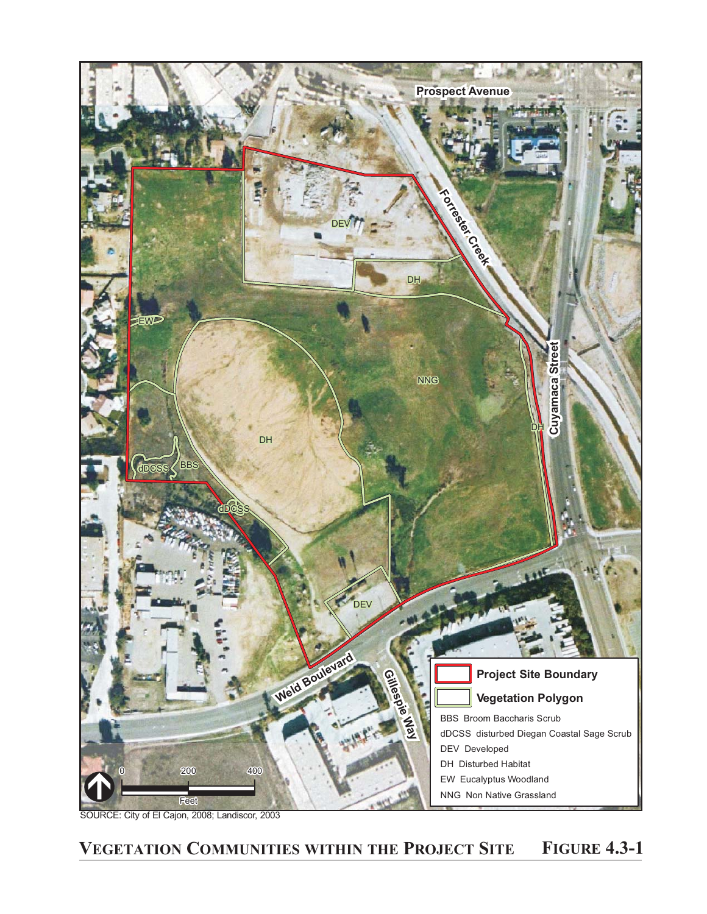

SOURCE: City of El Cajon, 2008; Landiscor, 2003

## **VEGETATION COMMUNITIES WITHIN THE PROJECT SITE FIGURE 4.3-1**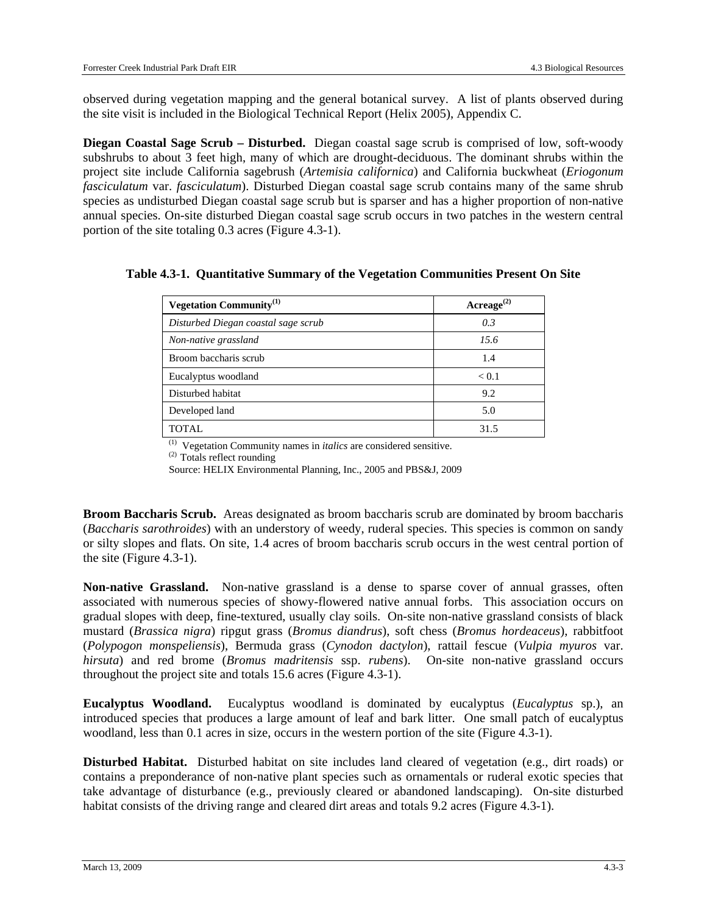observed during vegetation mapping and the general botanical survey. A list of plants observed during the site visit is included in the Biological Technical Report (Helix 2005), Appendix C.

**Diegan Coastal Sage Scrub – Disturbed.** Diegan coastal sage scrub is comprised of low, soft-woody subshrubs to about 3 feet high, many of which are drought-deciduous. The dominant shrubs within the project site include California sagebrush (*Artemisia californica*) and California buckwheat (*Eriogonum fasciculatum* var. *fasciculatum*). Disturbed Diegan coastal sage scrub contains many of the same shrub species as undisturbed Diegan coastal sage scrub but is sparser and has a higher proportion of non-native annual species. On-site disturbed Diegan coastal sage scrub occurs in two patches in the western central portion of the site totaling 0.3 acres (Figure 4.3-1).

| Vegetation Community <sup>(1)</sup> | Acreage <sup>(2)</sup> |
|-------------------------------------|------------------------|
| Disturbed Diegan coastal sage scrub | 0.3                    |
| Non-native grassland                | 15.6                   |
| Broom baccharis scrub               | 1.4                    |
| Eucalyptus woodland                 | < 0.1                  |
| Disturbed habitat                   | 9.2                    |
| Developed land                      | 5.0                    |
| TOTAL                               | 31.5                   |

**Table 4.3-1. Quantitative Summary of the Vegetation Communities Present On Site** 

(1) Vegetation Community names in *italics* are considered sensitive.

(2) Totals reflect rounding

Source: HELIX Environmental Planning, Inc., 2005 and PBS&J, 2009

**Broom Baccharis Scrub.** Areas designated as broom baccharis scrub are dominated by broom baccharis (*Baccharis sarothroides*) with an understory of weedy, ruderal species. This species is common on sandy or silty slopes and flats. On site, 1.4 acres of broom baccharis scrub occurs in the west central portion of the site (Figure 4.3-1).

**Non-native Grassland.** Non-native grassland is a dense to sparse cover of annual grasses, often associated with numerous species of showy-flowered native annual forbs. This association occurs on gradual slopes with deep, fine-textured, usually clay soils. On-site non-native grassland consists of black mustard (*Brassica nigra*) ripgut grass (*Bromus diandrus*), soft chess (*Bromus hordeaceus*), rabbitfoot (*Polypogon monspeliensis*), Bermuda grass (*Cynodon dactylon*), rattail fescue (*Vulpia myuros* var. *hirsuta*) and red brome (*Bromus madritensis* ssp. *rubens*). On-site non-native grassland occurs throughout the project site and totals 15.6 acres (Figure 4.3-1).

**Eucalyptus Woodland.** Eucalyptus woodland is dominated by eucalyptus (*Eucalyptus* sp.), an introduced species that produces a large amount of leaf and bark litter. One small patch of eucalyptus woodland, less than 0.1 acres in size, occurs in the western portion of the site (Figure 4.3-1).

**Disturbed Habitat.** Disturbed habitat on site includes land cleared of vegetation (e.g., dirt roads) or contains a preponderance of non-native plant species such as ornamentals or ruderal exotic species that take advantage of disturbance (e.g., previously cleared or abandoned landscaping). On-site disturbed habitat consists of the driving range and cleared dirt areas and totals 9.2 acres (Figure 4.3-1).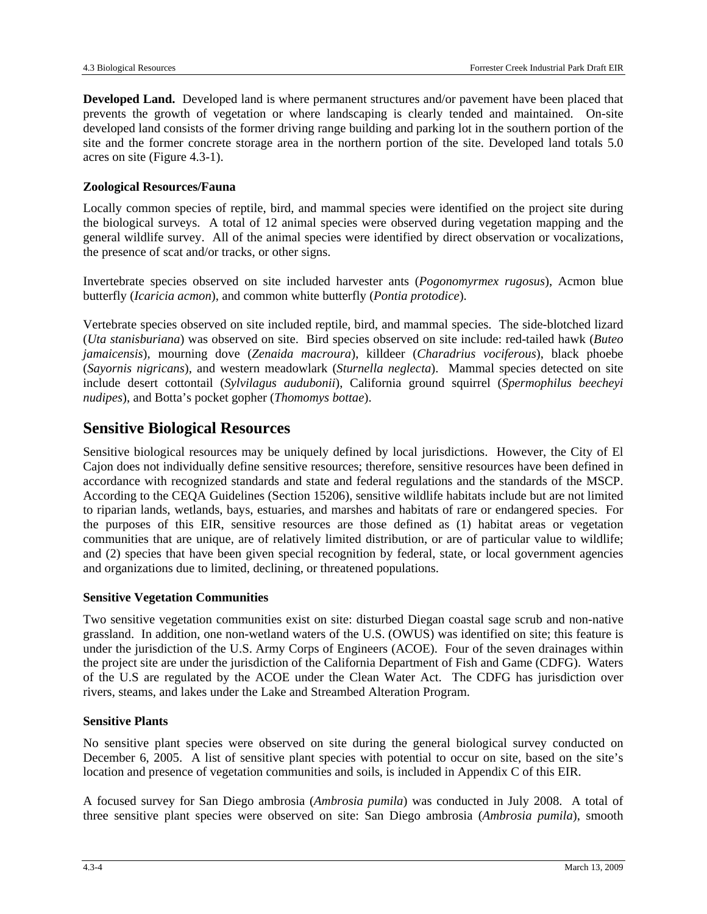**Developed Land.** Developed land is where permanent structures and/or pavement have been placed that prevents the growth of vegetation or where landscaping is clearly tended and maintained. On-site developed land consists of the former driving range building and parking lot in the southern portion of the site and the former concrete storage area in the northern portion of the site. Developed land totals 5.0 acres on site (Figure 4.3-1).

#### **Zoological Resources/Fauna**

Locally common species of reptile, bird, and mammal species were identified on the project site during the biological surveys. A total of 12 animal species were observed during vegetation mapping and the general wildlife survey. All of the animal species were identified by direct observation or vocalizations, the presence of scat and/or tracks, or other signs.

Invertebrate species observed on site included harvester ants (*Pogonomyrmex rugosus*), Acmon blue butterfly (*Icaricia acmon*), and common white butterfly (*Pontia protodice*).

Vertebrate species observed on site included reptile, bird, and mammal species. The side-blotched lizard (*Uta stanisburiana*) was observed on site. Bird species observed on site include: red-tailed hawk (*Buteo jamaicensis*), mourning dove (*Zenaida macroura*), killdeer (*Charadrius vociferous*), black phoebe (*Sayornis nigricans*), and western meadowlark (*Sturnella neglecta*). Mammal species detected on site include desert cottontail (*Sylvilagus audubonii*), California ground squirrel (*Spermophilus beecheyi nudipes*), and Botta's pocket gopher (*Thomomys bottae*).

### **Sensitive Biological Resources**

Sensitive biological resources may be uniquely defined by local jurisdictions. However, the City of El Cajon does not individually define sensitive resources; therefore, sensitive resources have been defined in accordance with recognized standards and state and federal regulations and the standards of the MSCP. According to the CEQA Guidelines (Section 15206), sensitive wildlife habitats include but are not limited to riparian lands, wetlands, bays, estuaries, and marshes and habitats of rare or endangered species. For the purposes of this EIR, sensitive resources are those defined as (1) habitat areas or vegetation communities that are unique, are of relatively limited distribution, or are of particular value to wildlife; and (2) species that have been given special recognition by federal, state, or local government agencies and organizations due to limited, declining, or threatened populations.

#### **Sensitive Vegetation Communities**

Two sensitive vegetation communities exist on site: disturbed Diegan coastal sage scrub and non-native grassland. In addition, one non-wetland waters of the U.S. (OWUS) was identified on site; this feature is under the jurisdiction of the U.S. Army Corps of Engineers (ACOE). Four of the seven drainages within the project site are under the jurisdiction of the California Department of Fish and Game (CDFG). Waters of the U.S are regulated by the ACOE under the Clean Water Act. The CDFG has jurisdiction over rivers, steams, and lakes under the Lake and Streambed Alteration Program.

#### **Sensitive Plants**

No sensitive plant species were observed on site during the general biological survey conducted on December 6, 2005. A list of sensitive plant species with potential to occur on site, based on the site's location and presence of vegetation communities and soils, is included in Appendix C of this EIR.

A focused survey for San Diego ambrosia (*Ambrosia pumila*) was conducted in July 2008. A total of three sensitive plant species were observed on site: San Diego ambrosia (*Ambrosia pumila*), smooth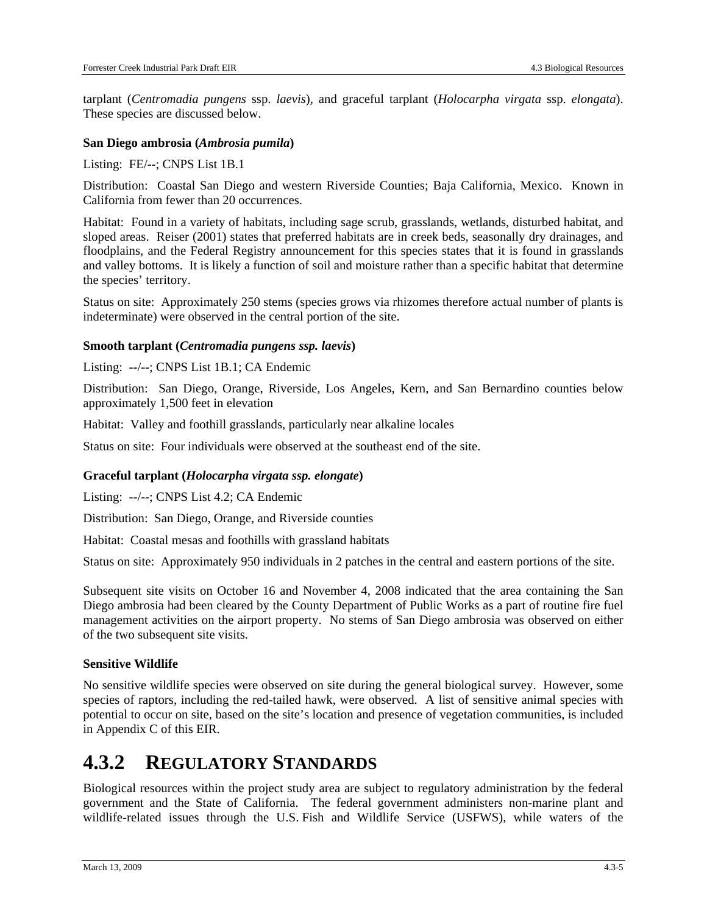tarplant (*Centromadia pungens* ssp. *laevis*), and graceful tarplant (*Holocarpha virgata* ssp. *elongata*). These species are discussed below.

#### **San Diego ambrosia (***Ambrosia pumila***)**

Listing: FE/--; CNPS List 1B.1

Distribution: Coastal San Diego and western Riverside Counties; Baja California, Mexico. Known in California from fewer than 20 occurrences.

Habitat: Found in a variety of habitats, including sage scrub, grasslands, wetlands, disturbed habitat, and sloped areas. Reiser (2001) states that preferred habitats are in creek beds, seasonally dry drainages, and floodplains, and the Federal Registry announcement for this species states that it is found in grasslands and valley bottoms. It is likely a function of soil and moisture rather than a specific habitat that determine the species' territory.

Status on site: Approximately 250 stems (species grows via rhizomes therefore actual number of plants is indeterminate) were observed in the central portion of the site.

#### **Smooth tarplant (***Centromadia pungens ssp. laevis***)**

Listing: --/--; CNPS List 1B.1; CA Endemic

Distribution: San Diego, Orange, Riverside, Los Angeles, Kern, and San Bernardino counties below approximately 1,500 feet in elevation

Habitat: Valley and foothill grasslands, particularly near alkaline locales

Status on site: Four individuals were observed at the southeast end of the site.

#### **Graceful tarplant (***Holocarpha virgata ssp. elongate***)**

Listing: --/--; CNPS List 4.2; CA Endemic

Distribution: San Diego, Orange, and Riverside counties

Habitat: Coastal mesas and foothills with grassland habitats

Status on site: Approximately 950 individuals in 2 patches in the central and eastern portions of the site.

Subsequent site visits on October 16 and November 4, 2008 indicated that the area containing the San Diego ambrosia had been cleared by the County Department of Public Works as a part of routine fire fuel management activities on the airport property. No stems of San Diego ambrosia was observed on either of the two subsequent site visits.

#### **Sensitive Wildlife**

No sensitive wildlife species were observed on site during the general biological survey. However, some species of raptors, including the red-tailed hawk, were observed. A list of sensitive animal species with potential to occur on site, based on the site's location and presence of vegetation communities, is included in Appendix C of this EIR.

## **4.3.2 REGULATORY STANDARDS**

Biological resources within the project study area are subject to regulatory administration by the federal government and the State of California. The federal government administers non-marine plant and wildlife-related issues through the U.S. Fish and Wildlife Service (USFWS), while waters of the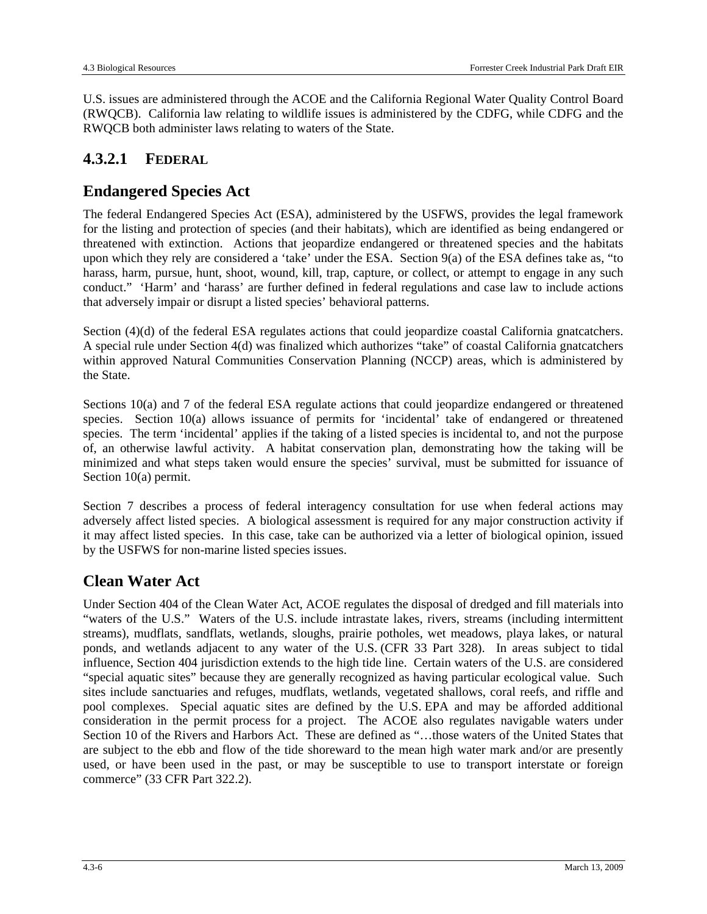U.S. issues are administered through the ACOE and the California Regional Water Quality Control Board (RWQCB). California law relating to wildlife issues is administered by the CDFG, while CDFG and the RWQCB both administer laws relating to waters of the State.

## **4.3.2.1 FEDERAL**

## **Endangered Species Act**

The federal Endangered Species Act (ESA), administered by the USFWS, provides the legal framework for the listing and protection of species (and their habitats), which are identified as being endangered or threatened with extinction. Actions that jeopardize endangered or threatened species and the habitats upon which they rely are considered a 'take' under the ESA. Section 9(a) of the ESA defines take as, "to harass, harm, pursue, hunt, shoot, wound, kill, trap, capture, or collect, or attempt to engage in any such conduct." 'Harm' and 'harass' are further defined in federal regulations and case law to include actions that adversely impair or disrupt a listed species' behavioral patterns.

Section (4)(d) of the federal ESA regulates actions that could jeopardize coastal California gnatcatchers. A special rule under Section 4(d) was finalized which authorizes "take" of coastal California gnatcatchers within approved Natural Communities Conservation Planning (NCCP) areas, which is administered by the State.

Sections 10(a) and 7 of the federal ESA regulate actions that could jeopardize endangered or threatened species. Section 10(a) allows issuance of permits for 'incidental' take of endangered or threatened species. The term 'incidental' applies if the taking of a listed species is incidental to, and not the purpose of, an otherwise lawful activity. A habitat conservation plan, demonstrating how the taking will be minimized and what steps taken would ensure the species' survival, must be submitted for issuance of Section 10(a) permit.

Section 7 describes a process of federal interagency consultation for use when federal actions may adversely affect listed species. A biological assessment is required for any major construction activity if it may affect listed species. In this case, take can be authorized via a letter of biological opinion, issued by the USFWS for non-marine listed species issues.

## **Clean Water Act**

Under Section 404 of the Clean Water Act, ACOE regulates the disposal of dredged and fill materials into "waters of the U.S." Waters of the U.S. include intrastate lakes, rivers, streams (including intermittent streams), mudflats, sandflats, wetlands, sloughs, prairie potholes, wet meadows, playa lakes, or natural ponds, and wetlands adjacent to any water of the U.S. (CFR 33 Part 328). In areas subject to tidal influence, Section 404 jurisdiction extends to the high tide line. Certain waters of the U.S. are considered "special aquatic sites" because they are generally recognized as having particular ecological value. Such sites include sanctuaries and refuges, mudflats, wetlands, vegetated shallows, coral reefs, and riffle and pool complexes. Special aquatic sites are defined by the U.S. EPA and may be afforded additional consideration in the permit process for a project. The ACOE also regulates navigable waters under Section 10 of the Rivers and Harbors Act. These are defined as "…those waters of the United States that are subject to the ebb and flow of the tide shoreward to the mean high water mark and/or are presently used, or have been used in the past, or may be susceptible to use to transport interstate or foreign commerce" (33 CFR Part 322.2).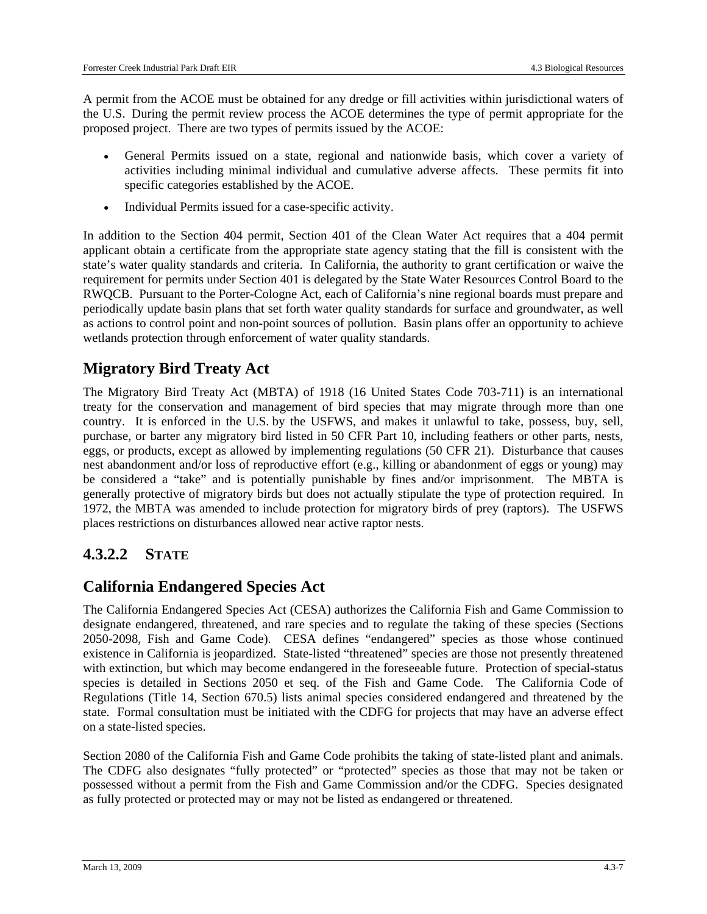A permit from the ACOE must be obtained for any dredge or fill activities within jurisdictional waters of the U.S. During the permit review process the ACOE determines the type of permit appropriate for the proposed project. There are two types of permits issued by the ACOE:

- General Permits issued on a state, regional and nationwide basis, which cover a variety of activities including minimal individual and cumulative adverse affects. These permits fit into specific categories established by the ACOE.
- Individual Permits issued for a case-specific activity.

In addition to the Section 404 permit, Section 401 of the Clean Water Act requires that a 404 permit applicant obtain a certificate from the appropriate state agency stating that the fill is consistent with the state's water quality standards and criteria. In California, the authority to grant certification or waive the requirement for permits under Section 401 is delegated by the State Water Resources Control Board to the RWQCB. Pursuant to the Porter-Cologne Act, each of California's nine regional boards must prepare and periodically update basin plans that set forth water quality standards for surface and groundwater, as well as actions to control point and non-point sources of pollution. Basin plans offer an opportunity to achieve wetlands protection through enforcement of water quality standards.

## **Migratory Bird Treaty Act**

The Migratory Bird Treaty Act (MBTA) of 1918 (16 United States Code 703-711) is an international treaty for the conservation and management of bird species that may migrate through more than one country. It is enforced in the U.S. by the USFWS, and makes it unlawful to take, possess, buy, sell, purchase, or barter any migratory bird listed in 50 CFR Part 10, including feathers or other parts, nests, eggs, or products, except as allowed by implementing regulations (50 CFR 21). Disturbance that causes nest abandonment and/or loss of reproductive effort (e.g., killing or abandonment of eggs or young) may be considered a "take" and is potentially punishable by fines and/or imprisonment. The MBTA is generally protective of migratory birds but does not actually stipulate the type of protection required. In 1972, the MBTA was amended to include protection for migratory birds of prey (raptors). The USFWS places restrictions on disturbances allowed near active raptor nests.

## **4.3.2.2 STATE**

## **California Endangered Species Act**

The California Endangered Species Act (CESA) authorizes the California Fish and Game Commission to designate endangered, threatened, and rare species and to regulate the taking of these species (Sections 2050-2098, Fish and Game Code). CESA defines "endangered" species as those whose continued existence in California is jeopardized. State-listed "threatened" species are those not presently threatened with extinction, but which may become endangered in the foreseeable future. Protection of special-status species is detailed in Sections 2050 et seq. of the Fish and Game Code. The California Code of Regulations (Title 14, Section 670.5) lists animal species considered endangered and threatened by the state. Formal consultation must be initiated with the CDFG for projects that may have an adverse effect on a state-listed species.

Section 2080 of the California Fish and Game Code prohibits the taking of state-listed plant and animals. The CDFG also designates "fully protected" or "protected" species as those that may not be taken or possessed without a permit from the Fish and Game Commission and/or the CDFG. Species designated as fully protected or protected may or may not be listed as endangered or threatened.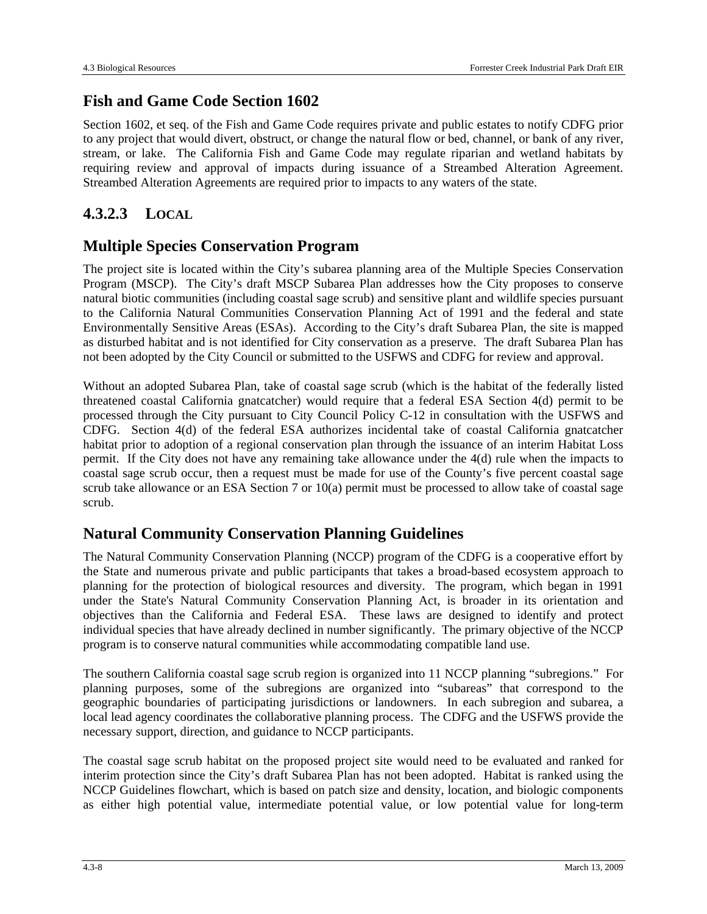### **Fish and Game Code Section 1602**

Section 1602, et seq. of the Fish and Game Code requires private and public estates to notify CDFG prior to any project that would divert, obstruct, or change the natural flow or bed, channel, or bank of any river, stream, or lake. The California Fish and Game Code may regulate riparian and wetland habitats by requiring review and approval of impacts during issuance of a Streambed Alteration Agreement. Streambed Alteration Agreements are required prior to impacts to any waters of the state.

### **4.3.2.3 LOCAL**

### **Multiple Species Conservation Program**

The project site is located within the City's subarea planning area of the Multiple Species Conservation Program (MSCP). The City's draft MSCP Subarea Plan addresses how the City proposes to conserve natural biotic communities (including coastal sage scrub) and sensitive plant and wildlife species pursuant to the California Natural Communities Conservation Planning Act of 1991 and the federal and state Environmentally Sensitive Areas (ESAs). According to the City's draft Subarea Plan, the site is mapped as disturbed habitat and is not identified for City conservation as a preserve. The draft Subarea Plan has not been adopted by the City Council or submitted to the USFWS and CDFG for review and approval.

Without an adopted Subarea Plan, take of coastal sage scrub (which is the habitat of the federally listed threatened coastal California gnatcatcher) would require that a federal ESA Section 4(d) permit to be processed through the City pursuant to City Council Policy C-12 in consultation with the USFWS and CDFG. Section 4(d) of the federal ESA authorizes incidental take of coastal California gnatcatcher habitat prior to adoption of a regional conservation plan through the issuance of an interim Habitat Loss permit. If the City does not have any remaining take allowance under the 4(d) rule when the impacts to coastal sage scrub occur, then a request must be made for use of the County's five percent coastal sage scrub take allowance or an ESA Section 7 or 10(a) permit must be processed to allow take of coastal sage scrub.

### **Natural Community Conservation Planning Guidelines**

The Natural Community Conservation Planning (NCCP) program of the CDFG is a cooperative effort by the State and numerous private and public participants that takes a broad-based ecosystem approach to planning for the protection of biological resources and diversity. The program, which began in 1991 under the State's Natural Community Conservation Planning Act, is broader in its orientation and objectives than the California and Federal ESA. These laws are designed to identify and protect individual species that have already declined in number significantly. The primary objective of the NCCP program is to conserve natural communities while accommodating compatible land use.

The southern California coastal sage scrub region is organized into 11 NCCP planning "subregions." For planning purposes, some of the subregions are organized into "subareas" that correspond to the geographic boundaries of participating jurisdictions or landowners. In each subregion and subarea, a local lead agency coordinates the collaborative planning process. The CDFG and the USFWS provide the necessary support, direction, and guidance to NCCP participants.

The coastal sage scrub habitat on the proposed project site would need to be evaluated and ranked for interim protection since the City's draft Subarea Plan has not been adopted. Habitat is ranked using the NCCP Guidelines flowchart, which is based on patch size and density, location, and biologic components as either high potential value, intermediate potential value, or low potential value for long-term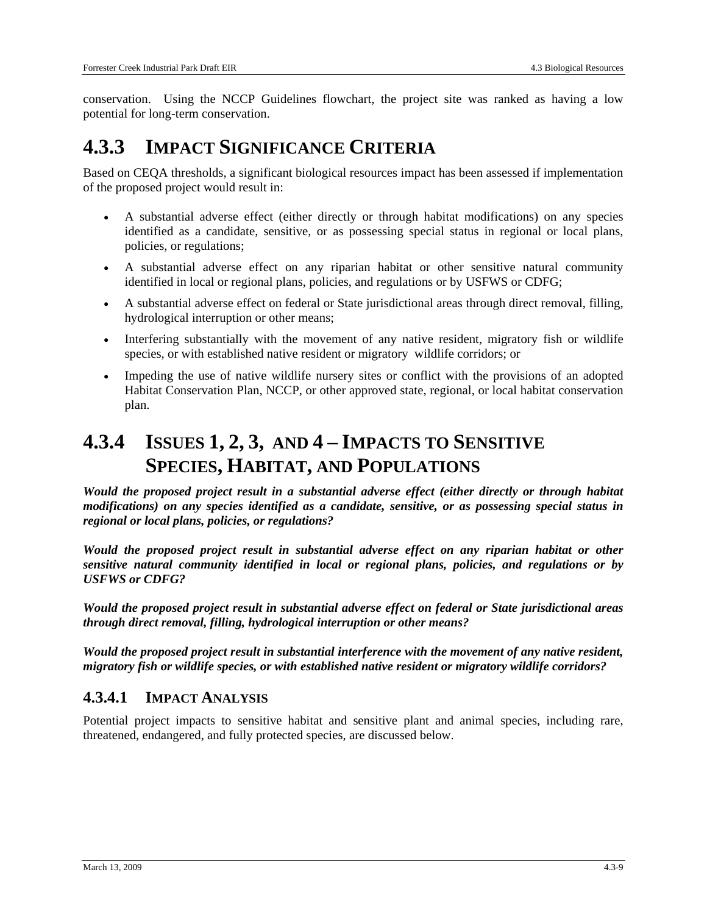conservation. Using the NCCP Guidelines flowchart, the project site was ranked as having a low potential for long-term conservation.

## **4.3.3 IMPACT SIGNIFICANCE CRITERIA**

Based on CEQA thresholds, a significant biological resources impact has been assessed if implementation of the proposed project would result in:

- A substantial adverse effect (either directly or through habitat modifications) on any species identified as a candidate, sensitive, or as possessing special status in regional or local plans, policies, or regulations;
- A substantial adverse effect on any riparian habitat or other sensitive natural community identified in local or regional plans, policies, and regulations or by USFWS or CDFG;
- A substantial adverse effect on federal or State jurisdictional areas through direct removal, filling, hydrological interruption or other means;
- Interfering substantially with the movement of any native resident, migratory fish or wildlife species, or with established native resident or migratory wildlife corridors; or
- Impeding the use of native wildlife nursery sites or conflict with the provisions of an adopted Habitat Conservation Plan, NCCP, or other approved state, regional, or local habitat conservation plan.

## **4.3.4 ISSUES 1, 2, 3, AND 4 – IMPACTS TO SENSITIVE SPECIES, HABITAT, AND POPULATIONS**

*Would the proposed project result in a substantial adverse effect (either directly or through habitat modifications) on any species identified as a candidate, sensitive, or as possessing special status in regional or local plans, policies, or regulations?* 

*Would the proposed project result in substantial adverse effect on any riparian habitat or other sensitive natural community identified in local or regional plans, policies, and regulations or by USFWS or CDFG?* 

*Would the proposed project result in substantial adverse effect on federal or State jurisdictional areas through direct removal, filling, hydrological interruption or other means?* 

*Would the proposed project result in substantial interference with the movement of any native resident, migratory fish or wildlife species, or with established native resident or migratory wildlife corridors?* 

### **4.3.4.1 IMPACT ANALYSIS**

Potential project impacts to sensitive habitat and sensitive plant and animal species, including rare, threatened, endangered, and fully protected species, are discussed below.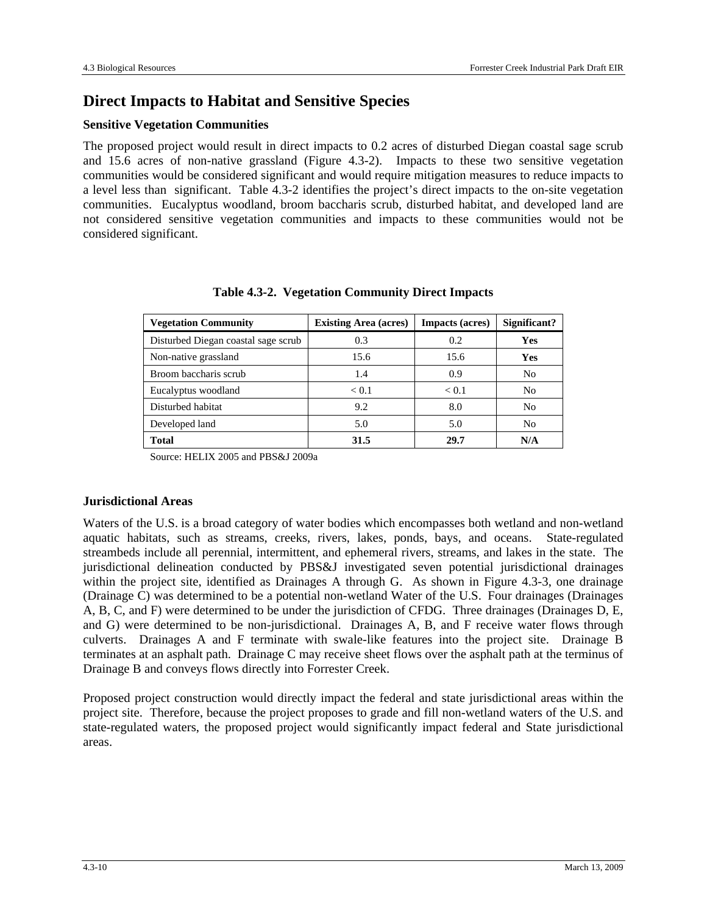## **Direct Impacts to Habitat and Sensitive Species**

#### **Sensitive Vegetation Communities**

The proposed project would result in direct impacts to 0.2 acres of disturbed Diegan coastal sage scrub and 15.6 acres of non-native grassland (Figure 4.3-2). Impacts to these two sensitive vegetation communities would be considered significant and would require mitigation measures to reduce impacts to a level less than significant. Table 4.3-2 identifies the project's direct impacts to the on-site vegetation communities. Eucalyptus woodland, broom baccharis scrub, disturbed habitat, and developed land are not considered sensitive vegetation communities and impacts to these communities would not be considered significant.

| <b>Vegetation Community</b>         | <b>Existing Area (acres)</b> | <b>Impacts (acres)</b> | Significant? |
|-------------------------------------|------------------------------|------------------------|--------------|
| Disturbed Diegan coastal sage scrub | 0.3                          | 0.2                    | <b>Yes</b>   |
| Non-native grassland                | 15.6                         | 15.6                   | <b>Yes</b>   |
| Broom baccharis scrub               | 1.4                          | 0.9                    | No           |
| Eucalyptus woodland                 | < 0.1                        | < 0.1                  | No           |
| Disturbed habitat                   | 9.2                          | 8.0                    | No           |
| Developed land                      | 5.0                          | 5.0                    | No           |
| <b>Total</b>                        | 31.5                         | 29.7                   | N/A          |

**Table 4.3-2. Vegetation Community Direct Impacts** 

Source: HELIX 2005 and PBS&J 2009a

#### **Jurisdictional Areas**

Waters of the U.S. is a broad category of water bodies which encompasses both wetland and non-wetland aquatic habitats, such as streams, creeks, rivers, lakes, ponds, bays, and oceans. State-regulated streambeds include all perennial, intermittent, and ephemeral rivers, streams, and lakes in the state. The jurisdictional delineation conducted by PBS&J investigated seven potential jurisdictional drainages within the project site, identified as Drainages A through G. As shown in Figure 4.3-3, one drainage (Drainage C) was determined to be a potential non-wetland Water of the U.S. Four drainages (Drainages A, B, C, and F) were determined to be under the jurisdiction of CFDG. Three drainages (Drainages D, E, and G) were determined to be non-jurisdictional. Drainages A, B, and F receive water flows through culverts. Drainages A and F terminate with swale-like features into the project site. Drainage B terminates at an asphalt path. Drainage C may receive sheet flows over the asphalt path at the terminus of Drainage B and conveys flows directly into Forrester Creek.

Proposed project construction would directly impact the federal and state jurisdictional areas within the project site. Therefore, because the project proposes to grade and fill non-wetland waters of the U.S. and state-regulated waters, the proposed project would significantly impact federal and State jurisdictional areas.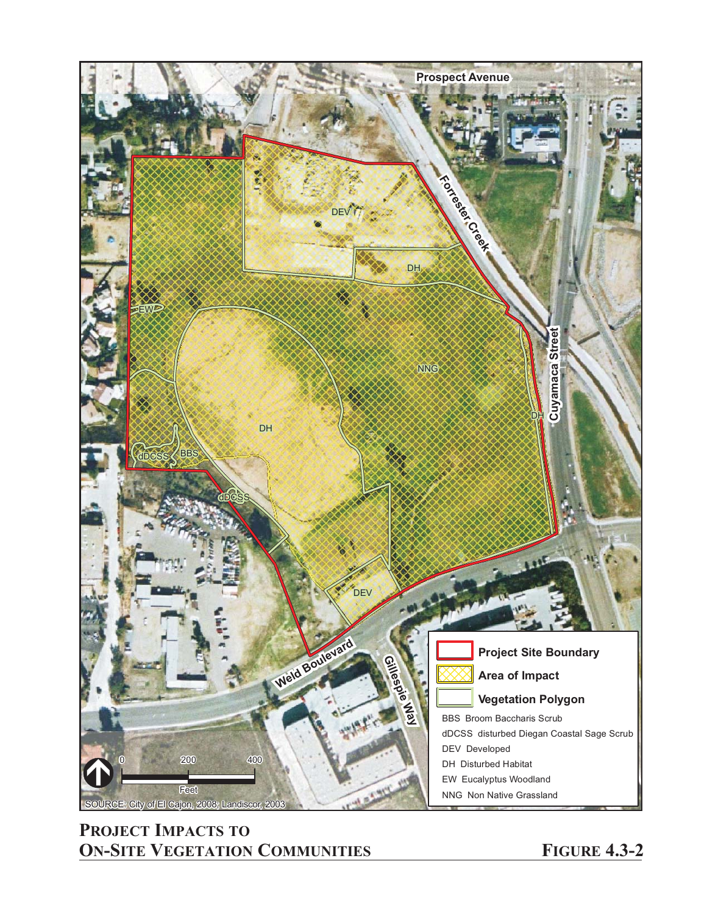

## **PROJECT IMPACTS TO ON-SITE VEGETATION COMMUNITIES FIGURE 4.3-2**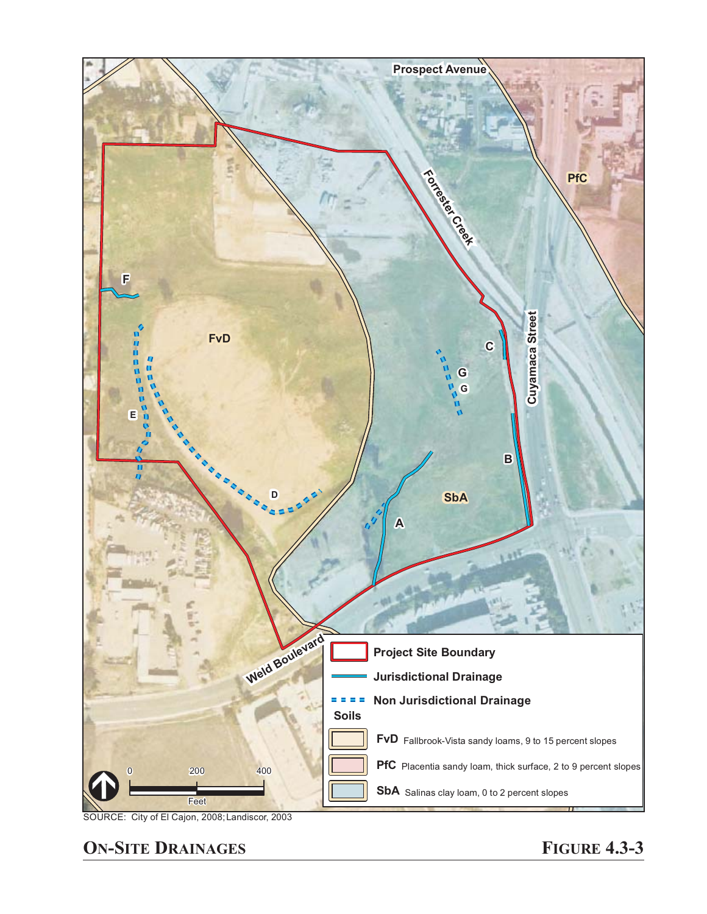

SOURCE: City of El Cajon, 2008; Landiscor, 2003

**ON-SITE DRAINAGES FIGURE 4.3-3**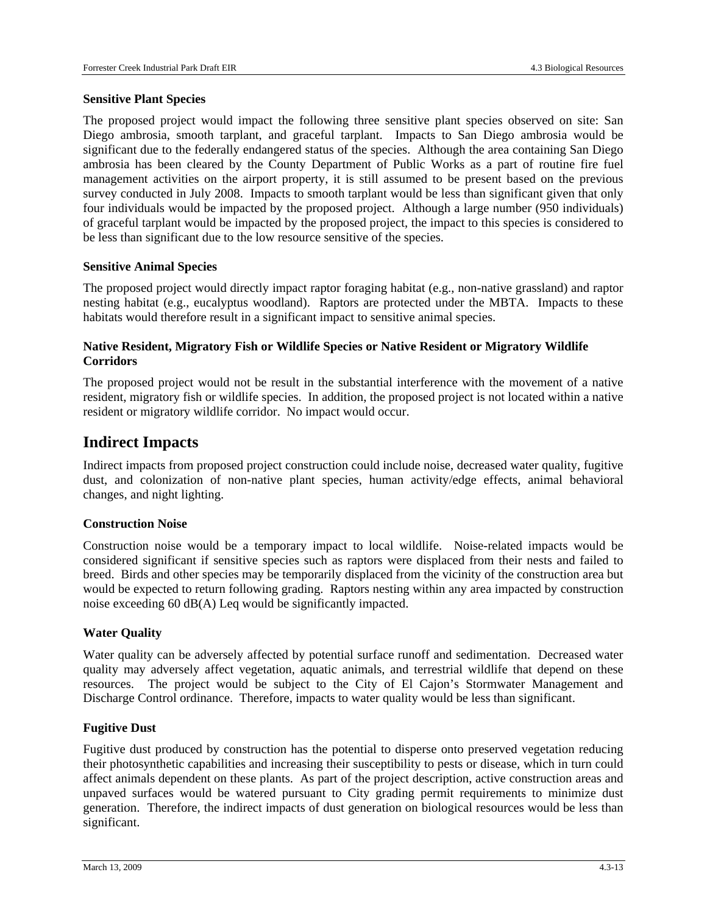#### **Sensitive Plant Species**

The proposed project would impact the following three sensitive plant species observed on site: San Diego ambrosia, smooth tarplant, and graceful tarplant. Impacts to San Diego ambrosia would be significant due to the federally endangered status of the species. Although the area containing San Diego ambrosia has been cleared by the County Department of Public Works as a part of routine fire fuel management activities on the airport property, it is still assumed to be present based on the previous survey conducted in July 2008. Impacts to smooth tarplant would be less than significant given that only four individuals would be impacted by the proposed project. Although a large number (950 individuals) of graceful tarplant would be impacted by the proposed project, the impact to this species is considered to be less than significant due to the low resource sensitive of the species.

#### **Sensitive Animal Species**

The proposed project would directly impact raptor foraging habitat (e.g., non-native grassland) and raptor nesting habitat (e.g., eucalyptus woodland). Raptors are protected under the MBTA. Impacts to these habitats would therefore result in a significant impact to sensitive animal species.

#### **Native Resident, Migratory Fish or Wildlife Species or Native Resident or Migratory Wildlife Corridors**

The proposed project would not be result in the substantial interference with the movement of a native resident, migratory fish or wildlife species. In addition, the proposed project is not located within a native resident or migratory wildlife corridor. No impact would occur.

#### **Indirect Impacts**

Indirect impacts from proposed project construction could include noise, decreased water quality, fugitive dust, and colonization of non-native plant species, human activity/edge effects, animal behavioral changes, and night lighting.

#### **Construction Noise**

Construction noise would be a temporary impact to local wildlife. Noise-related impacts would be considered significant if sensitive species such as raptors were displaced from their nests and failed to breed. Birds and other species may be temporarily displaced from the vicinity of the construction area but would be expected to return following grading. Raptors nesting within any area impacted by construction noise exceeding 60 dB(A) Leq would be significantly impacted.

#### **Water Quality**

Water quality can be adversely affected by potential surface runoff and sedimentation. Decreased water quality may adversely affect vegetation, aquatic animals, and terrestrial wildlife that depend on these resources. The project would be subject to the City of El Cajon's Stormwater Management and Discharge Control ordinance. Therefore, impacts to water quality would be less than significant.

#### **Fugitive Dust**

Fugitive dust produced by construction has the potential to disperse onto preserved vegetation reducing their photosynthetic capabilities and increasing their susceptibility to pests or disease, which in turn could affect animals dependent on these plants. As part of the project description, active construction areas and unpaved surfaces would be watered pursuant to City grading permit requirements to minimize dust generation. Therefore, the indirect impacts of dust generation on biological resources would be less than significant.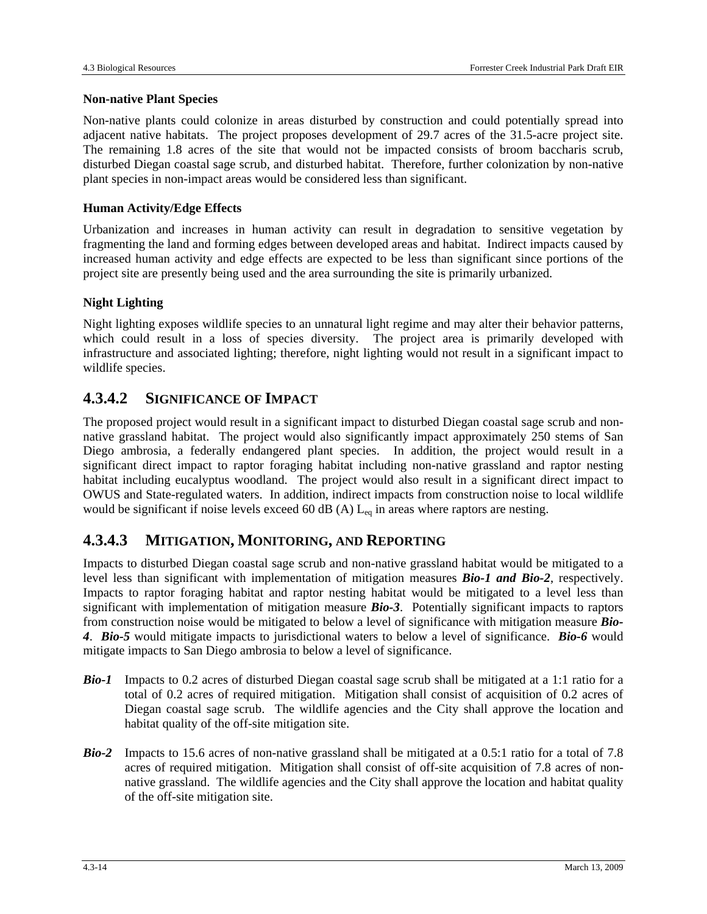#### **Non-native Plant Species**

Non-native plants could colonize in areas disturbed by construction and could potentially spread into adjacent native habitats. The project proposes development of 29.7 acres of the 31.5-acre project site. The remaining 1.8 acres of the site that would not be impacted consists of broom baccharis scrub, disturbed Diegan coastal sage scrub, and disturbed habitat. Therefore, further colonization by non-native plant species in non-impact areas would be considered less than significant.

#### **Human Activity/Edge Effects**

Urbanization and increases in human activity can result in degradation to sensitive vegetation by fragmenting the land and forming edges between developed areas and habitat. Indirect impacts caused by increased human activity and edge effects are expected to be less than significant since portions of the project site are presently being used and the area surrounding the site is primarily urbanized.

#### **Night Lighting**

Night lighting exposes wildlife species to an unnatural light regime and may alter their behavior patterns, which could result in a loss of species diversity. The project area is primarily developed with infrastructure and associated lighting; therefore, night lighting would not result in a significant impact to wildlife species.

### **4.3.4.2 SIGNIFICANCE OF IMPACT**

The proposed project would result in a significant impact to disturbed Diegan coastal sage scrub and nonnative grassland habitat. The project would also significantly impact approximately 250 stems of San Diego ambrosia, a federally endangered plant species. In addition, the project would result in a significant direct impact to raptor foraging habitat including non-native grassland and raptor nesting habitat including eucalyptus woodland. The project would also result in a significant direct impact to OWUS and State-regulated waters. In addition, indirect impacts from construction noise to local wildlife would be significant if noise levels exceed 60 dB (A)  $L_{eq}$  in areas where raptors are nesting.

#### **4.3.4.3 MITIGATION, MONITORING, AND REPORTING**

Impacts to disturbed Diegan coastal sage scrub and non-native grassland habitat would be mitigated to a level less than significant with implementation of mitigation measures *Bio-1 and Bio-2*, respectively. Impacts to raptor foraging habitat and raptor nesting habitat would be mitigated to a level less than significant with implementation of mitigation measure *Bio-3*. Potentially significant impacts to raptors from construction noise would be mitigated to below a level of significance with mitigation measure *Bio-4*. *Bio-5* would mitigate impacts to jurisdictional waters to below a level of significance. *Bio-6* would mitigate impacts to San Diego ambrosia to below a level of significance.

- *Bio-1* Impacts to 0.2 acres of disturbed Diegan coastal sage scrub shall be mitigated at a 1:1 ratio for a total of 0.2 acres of required mitigation. Mitigation shall consist of acquisition of 0.2 acres of Diegan coastal sage scrub. The wildlife agencies and the City shall approve the location and habitat quality of the off-site mitigation site.
- *Bio-2* Impacts to 15.6 acres of non-native grassland shall be mitigated at a 0.5:1 ratio for a total of 7.8 acres of required mitigation. Mitigation shall consist of off-site acquisition of 7.8 acres of nonnative grassland. The wildlife agencies and the City shall approve the location and habitat quality of the off-site mitigation site.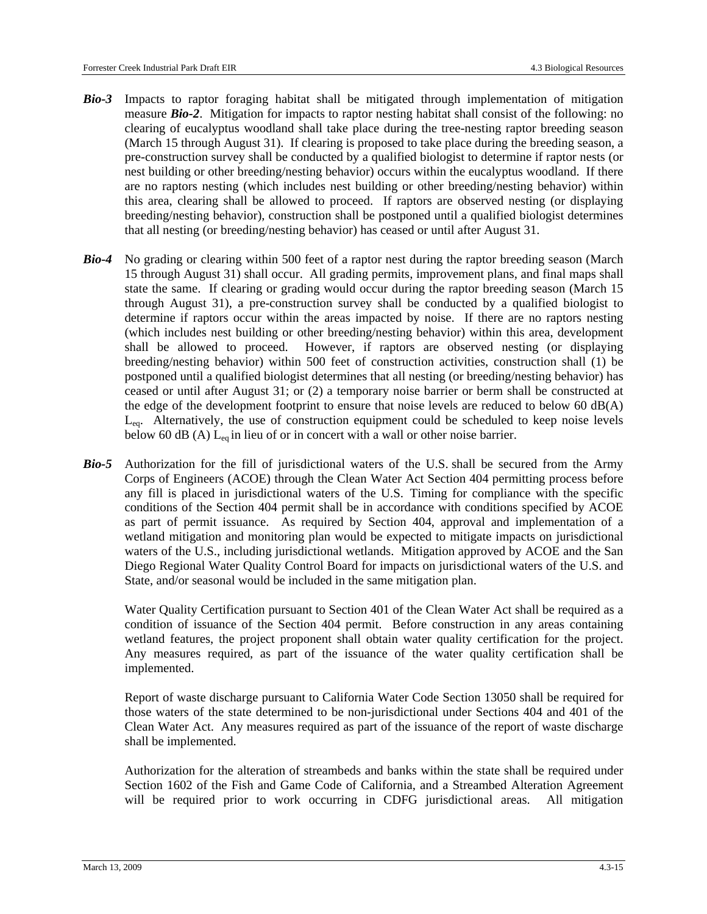- *Bio-3* Impacts to raptor foraging habitat shall be mitigated through implementation of mitigation measure *Bio-2*. Mitigation for impacts to raptor nesting habitat shall consist of the following: no clearing of eucalyptus woodland shall take place during the tree-nesting raptor breeding season (March 15 through August 31). If clearing is proposed to take place during the breeding season, a pre-construction survey shall be conducted by a qualified biologist to determine if raptor nests (or nest building or other breeding/nesting behavior) occurs within the eucalyptus woodland. If there are no raptors nesting (which includes nest building or other breeding/nesting behavior) within this area, clearing shall be allowed to proceed. If raptors are observed nesting (or displaying breeding/nesting behavior), construction shall be postponed until a qualified biologist determines that all nesting (or breeding/nesting behavior) has ceased or until after August 31.
- *Bio-4* No grading or clearing within 500 feet of a raptor nest during the raptor breeding season (March 15 through August 31) shall occur. All grading permits, improvement plans, and final maps shall state the same. If clearing or grading would occur during the raptor breeding season (March 15 through August 31), a pre-construction survey shall be conducted by a qualified biologist to determine if raptors occur within the areas impacted by noise. If there are no raptors nesting (which includes nest building or other breeding/nesting behavior) within this area, development shall be allowed to proceed. However, if raptors are observed nesting (or displaying breeding/nesting behavior) within 500 feet of construction activities, construction shall (1) be postponed until a qualified biologist determines that all nesting (or breeding/nesting behavior) has ceased or until after August 31; or (2) a temporary noise barrier or berm shall be constructed at the edge of the development footprint to ensure that noise levels are reduced to below 60 dB(A)  $L_{eq}$ . Alternatively, the use of construction equipment could be scheduled to keep noise levels below 60 dB (A)  $L_{eq}$  in lieu of or in concert with a wall or other noise barrier.
- *Bio-5* Authorization for the fill of jurisdictional waters of the U.S. shall be secured from the Army Corps of Engineers (ACOE) through the Clean Water Act Section 404 permitting process before any fill is placed in jurisdictional waters of the U.S. Timing for compliance with the specific conditions of the Section 404 permit shall be in accordance with conditions specified by ACOE as part of permit issuance. As required by Section 404, approval and implementation of a wetland mitigation and monitoring plan would be expected to mitigate impacts on jurisdictional waters of the U.S., including jurisdictional wetlands. Mitigation approved by ACOE and the San Diego Regional Water Quality Control Board for impacts on jurisdictional waters of the U.S. and State, and/or seasonal would be included in the same mitigation plan.

Water Quality Certification pursuant to Section 401 of the Clean Water Act shall be required as a condition of issuance of the Section 404 permit. Before construction in any areas containing wetland features, the project proponent shall obtain water quality certification for the project. Any measures required, as part of the issuance of the water quality certification shall be implemented.

Report of waste discharge pursuant to California Water Code Section 13050 shall be required for those waters of the state determined to be non-jurisdictional under Sections 404 and 401 of the Clean Water Act. Any measures required as part of the issuance of the report of waste discharge shall be implemented.

Authorization for the alteration of streambeds and banks within the state shall be required under Section 1602 of the Fish and Game Code of California, and a Streambed Alteration Agreement will be required prior to work occurring in CDFG jurisdictional areas. All mitigation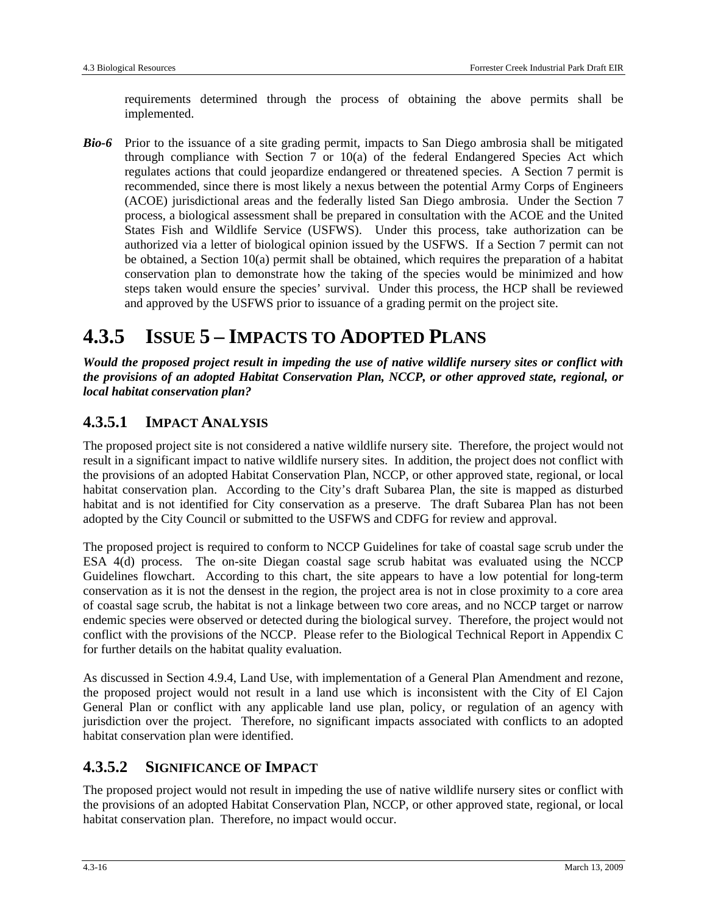requirements determined through the process of obtaining the above permits shall be implemented.

*Bio-6* Prior to the issuance of a site grading permit, impacts to San Diego ambrosia shall be mitigated through compliance with Section 7 or  $10(a)$  of the federal Endangered Species Act which regulates actions that could jeopardize endangered or threatened species. A Section 7 permit is recommended, since there is most likely a nexus between the potential Army Corps of Engineers (ACOE) jurisdictional areas and the federally listed San Diego ambrosia. Under the Section 7 process, a biological assessment shall be prepared in consultation with the ACOE and the United States Fish and Wildlife Service (USFWS). Under this process, take authorization can be authorized via a letter of biological opinion issued by the USFWS. If a Section 7 permit can not be obtained, a Section 10(a) permit shall be obtained, which requires the preparation of a habitat conservation plan to demonstrate how the taking of the species would be minimized and how steps taken would ensure the species' survival. Under this process, the HCP shall be reviewed and approved by the USFWS prior to issuance of a grading permit on the project site.

## **4.3.5 ISSUE 5 – IMPACTS TO ADOPTED PLANS**

*Would the proposed project result in impeding the use of native wildlife nursery sites or conflict with the provisions of an adopted Habitat Conservation Plan, NCCP, or other approved state, regional, or local habitat conservation plan?* 

### **4.3.5.1 IMPACT ANALYSIS**

The proposed project site is not considered a native wildlife nursery site. Therefore, the project would not result in a significant impact to native wildlife nursery sites. In addition, the project does not conflict with the provisions of an adopted Habitat Conservation Plan, NCCP, or other approved state, regional, or local habitat conservation plan. According to the City's draft Subarea Plan, the site is mapped as disturbed habitat and is not identified for City conservation as a preserve. The draft Subarea Plan has not been adopted by the City Council or submitted to the USFWS and CDFG for review and approval.

The proposed project is required to conform to NCCP Guidelines for take of coastal sage scrub under the ESA 4(d) process. The on-site Diegan coastal sage scrub habitat was evaluated using the NCCP Guidelines flowchart. According to this chart, the site appears to have a low potential for long-term conservation as it is not the densest in the region, the project area is not in close proximity to a core area of coastal sage scrub, the habitat is not a linkage between two core areas, and no NCCP target or narrow endemic species were observed or detected during the biological survey. Therefore, the project would not conflict with the provisions of the NCCP. Please refer to the Biological Technical Report in Appendix C for further details on the habitat quality evaluation.

As discussed in Section 4.9.4, Land Use, with implementation of a General Plan Amendment and rezone, the proposed project would not result in a land use which is inconsistent with the City of El Cajon General Plan or conflict with any applicable land use plan, policy, or regulation of an agency with jurisdiction over the project. Therefore, no significant impacts associated with conflicts to an adopted habitat conservation plan were identified.

## **4.3.5.2 SIGNIFICANCE OF IMPACT**

The proposed project would not result in impeding the use of native wildlife nursery sites or conflict with the provisions of an adopted Habitat Conservation Plan, NCCP, or other approved state, regional, or local habitat conservation plan. Therefore, no impact would occur.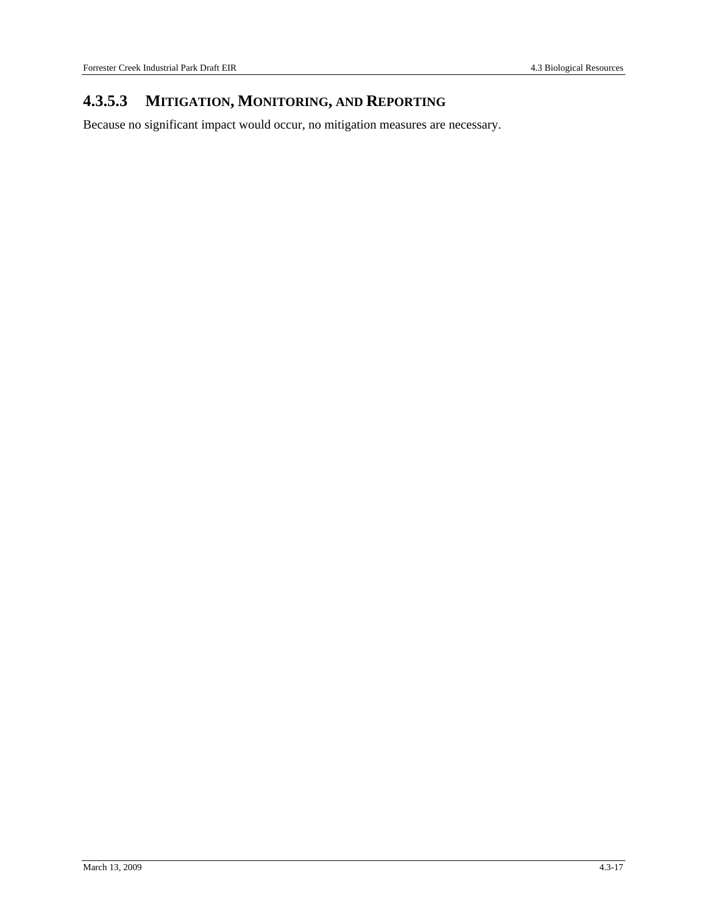## **4.3.5.3 MITIGATION, MONITORING, AND REPORTING**

Because no significant impact would occur, no mitigation measures are necessary.